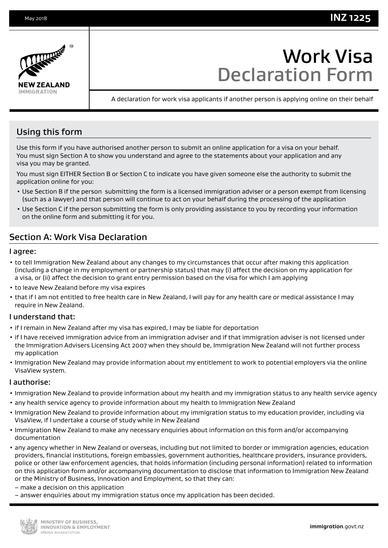

# Work Visa Declaration Form

A declaration for work visa applicants if another person is applying online on their behalf

# Using this form

Use this form if you have authorised another person to submit an online application for a visa on your behalf. You must sign Section A to show you understand and agree to the statements about your application and any visa you may be granted.

You must sign EITHER Section B or Section C to indicate you have given someone else the authority to submit the application online for you:

- Use Section B if the person submitting the form is a licensed immigration adviser or a person exempt from licensing (such as a lawyer) and that person will continue to act on your behalf during the processing of the application
- Use Section C if the person submitting the form is only providing assistance to you by recording your information on the online form and submitting it for you.

# Section A: Work Visa Declaration

#### I agree:

- to tell Immigration New Zealand about any changes to my circumstances that occur after making this application (including a change in my employment or partnership status) that may (i) affect the decision on my application for a visa, or (ii) affect the decision to grant entry permission based on the visa for which I am applying
- to leave New Zealand before my visa expires
- that if I am not entitled to free health care in New Zealand, I will pay for any health care or medical assistance I may require in New Zealand.

## I understand that:

- if I remain in New Zealand after my visa has expired, I may be liable for deportation
- if I have received immigration advice from an immigration adviser and if that immigration adviser is not licensed under the Immigration Advisers Licensing Act 2007 when they should be, Immigration New Zealand will not further process my application
- Immigration New Zealand may provide information about my entitlement to work to potential employers via the online VisaView system.

#### I authorise:

- Immigration New Zealand to provide information about my health and my immigration status to any health service agency
- any health service agency to provide information about my health to Immigration New Zealand
- Immigration New Zealand to provide information about my immigration status to my education provider, including via VisaView, if I undertake a course of study while in New Zealand
- Immigration New Zealand to make any necessary enquiries about information on this form and/or accompanying documentation
- any agency whether in New Zealand or overseas, including but not limited to border or immigration agencies, education providers, financial institutions, foreign embassies, government authorities, healthcare providers, insurance providers, police or other law enforcement agencies, that holds information (including personal information) related to information on this application form and/or accompanying documentation to disclose that information to Immigration New Zealand or the Ministry of Business, Innovation and Employment, so that they can:
- make a decision on this application
- answer enquiries about my immigration status once my application has been decided.